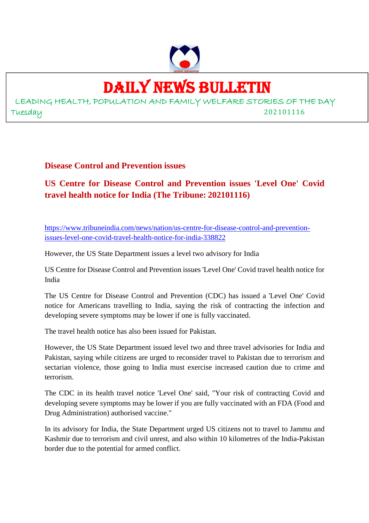

# DAILY NEWS BULLETIN

LEADING HEALTH, POPULATION AND FAMILY WELFARE STORIES OF THE DAY Tuesday 202101116

**Disease Control and Prevention issues**

# **US Centre for Disease Control and Prevention issues 'Level One' Covid travel health notice for India (The Tribune: 202101116)**

https://www.tribuneindia.com/news/nation/us-centre-for-disease-control-and-preventionissues-level-one-covid-travel-health-notice-for-india-338822

However, the US State Department issues a level two advisory for India

US Centre for Disease Control and Prevention issues 'Level One' Covid travel health notice for India

The US Centre for Disease Control and Prevention (CDC) has issued a 'Level One' Covid notice for Americans travelling to India, saying the risk of contracting the infection and developing severe symptoms may be lower if one is fully vaccinated.

The travel health notice has also been issued for Pakistan.

However, the US State Department issued level two and three travel advisories for India and Pakistan, saying while citizens are urged to reconsider travel to Pakistan due to terrorism and sectarian violence, those going to India must exercise increased caution due to crime and terrorism.

The CDC in its health travel notice 'Level One' said, "Your risk of contracting Covid and developing severe symptoms may be lower if you are fully vaccinated with an FDA (Food and Drug Administration) authorised vaccine."

In its advisory for India, the State Department urged US citizens not to travel to Jammu and Kashmir due to terrorism and civil unrest, and also within 10 kilometres of the India-Pakistan border due to the potential for armed conflict.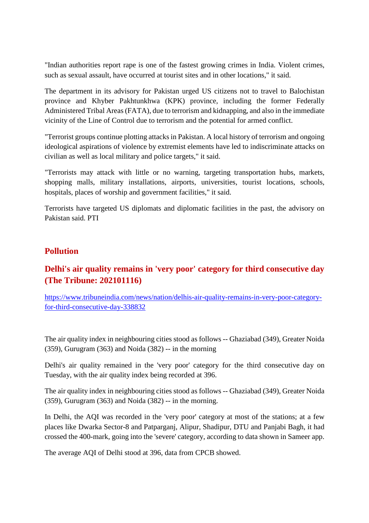"Indian authorities report rape is one of the fastest growing crimes in India. Violent crimes, such as sexual assault, have occurred at tourist sites and in other locations," it said.

The department in its advisory for Pakistan urged US citizens not to travel to Balochistan province and Khyber Pakhtunkhwa (KPK) province, including the former Federally Administered Tribal Areas (FATA), due to terrorism and kidnapping, and also in the immediate vicinity of the Line of Control due to terrorism and the potential for armed conflict.

"Terrorist groups continue plotting attacks in Pakistan. A local history of terrorism and ongoing ideological aspirations of violence by extremist elements have led to indiscriminate attacks on civilian as well as local military and police targets," it said.

"Terrorists may attack with little or no warning, targeting transportation hubs, markets, shopping malls, military installations, airports, universities, tourist locations, schools, hospitals, places of worship and government facilities," it said.

Terrorists have targeted US diplomats and diplomatic facilities in the past, the advisory on Pakistan said. PTI

#### **Pollution**

# **Delhi's air quality remains in 'very poor' category for third consecutive day (The Tribune: 202101116)**

https://www.tribuneindia.com/news/nation/delhis-air-quality-remains-in-very-poor-categoryfor-third-consecutive-day-338832

The air quality index in neighbouring cities stood as follows -- Ghaziabad (349), Greater Noida  $(359)$ , Gurugram  $(363)$  and Noida  $(382)$  -- in the morning

Delhi's air quality remained in the 'very poor' category for the third consecutive day on Tuesday, with the air quality index being recorded at 396.

The air quality index in neighbouring cities stood as follows -- Ghaziabad (349), Greater Noida (359), Gurugram (363) and Noida (382) -- in the morning.

In Delhi, the AQI was recorded in the 'very poor' category at most of the stations; at a few places like Dwarka Sector-8 and Patparganj, Alipur, Shadipur, DTU and Panjabi Bagh, it had crossed the 400-mark, going into the 'severe' category, according to data shown in Sameer app.

The average AQI of Delhi stood at 396, data from CPCB showed.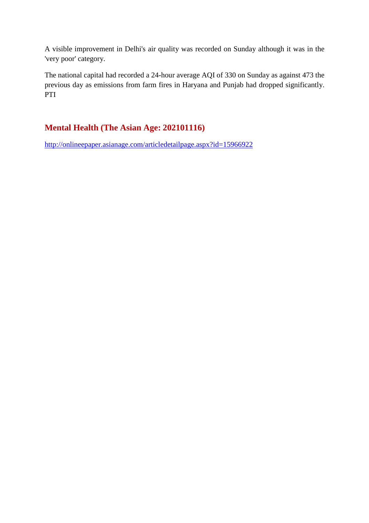A visible improvement in Delhi's air quality was recorded on Sunday although it was in the 'very poor' category.

The national capital had recorded a 24-hour average AQI of 330 on Sunday as against 473 the previous day as emissions from farm fires in Haryana and Punjab had dropped significantly. PTI

# **Mental Health (The Asian Age: 202101116)**

http://onlineepaper.asianage.com/articledetailpage.aspx?id=15966922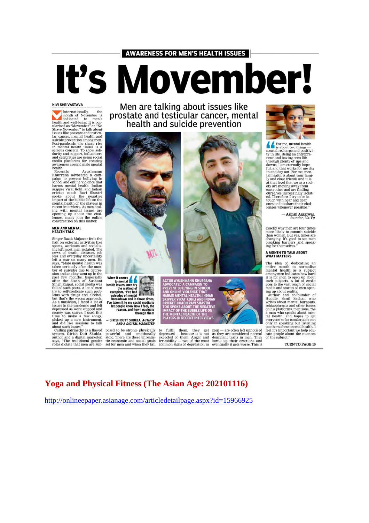#### **AWARENESS FOR MEN'S HEALTH ISSUES**

# It's Movember

#### **NIVI SHRIVASTAVA**

**NIVI SHRIVASTAVA**<br>
Internationally, the men's head to men's the dedicated to men's underliends and well-being. It is pop-<br>
submarked as "Movember" or "No Shawe Nowember" or "No Shawe November" or "No sissues like prostate health

awareness around mate mental<br>health.<br>Recently, Ayushmann<br>Richter Recently and a compared a campaign to prevent bullying in<br>Exchool and online violence that<br>harms mental health. Indian<br>striper Virat Kohil and Indian<br>cricket

#### **MEN AND MENTAL<br>HEALTH TALK**

**MEALTH TALK**<br> **NEALTH TALK**<br>
Singer Razik Mujawar feels the<br>
halt on external activities like<br>
halt on external activities like<br>
here the most men isolated. The<br>
news of death, taseases, job<br>
loss and everyday uncertainty

Men are talking about issues like prostate and testicular cancer, mental health and suicide prevention



When it comes<br>to mental to mental<br>the issues, men try<br>the method of<br>expansion. "Yee had a seption of the method of<br>episodes of mental<br>preakdown and in those times,<br>the transfer that is the proplem and how in the sign of<br>the proplem can and how i reason, and how I navigate through them

- GIRISH DUTT SHUKLA, AUTHOR<br>AND A DIGITAL MARKETER

posed to be strong-physically<br>powerful and emotionally<br>stoic. There are these unrealistic economic and social goals<br>set for men and when they fail

LAYERS IN RECENT INTERVIEWS

UT THE NEGATIV<br>BUBBLE LIFE ON SPOKE ABOUT THE NEGA<br>CT OF THE BUBBLE LIFE<br>AENTAL HEALTH OF THE<br>EDS IN BECENT INTERVIL

to fulfil them, they get men — are often left unnoticed depressed — because it is not as they are considered normal expected of them. Anger and dominant traits in men. They irritability — two of the most bottle up their e



For me, mental health<br>
is about two things —<br>
mental recharge and positivity in life. Beling an entrepre-<br>
try in life. Beling an entrepre-<br>
through plenty of ups and<br>
downs, I am eternally hope-<br>
ful, and that works for m

- Ashish Aggarwal,<br>founder, Va-Yu

exactly why men are four times<br>more likely to commit suicide<br>than women. But yes, times are<br>changing. It's good to see men<br>breaking barriers and speak-<br>ing for themselves."

#### A MONTH TO TALK ABOUT<br>WHAT MATTERS

**WHAT MATTERS**<br>The idea of dedicating an Theorem onto the modulity emeration means and modulity and the instant of the interval and such such such such such that is for men to open up about goes to the vast reach of socia

TURN TO PAGE 10

#### **Yoga and Physical Fitness (The Asian Age: 202101116)**

http://onlineepaper.asianage.com/articledetailpage.aspx?id=15966925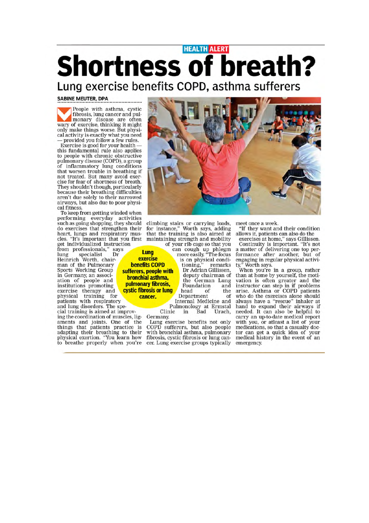# **HEALTH ALERT Shortness of breath?**

Lung exercise benefits COPD, asthma sufferers

#### **SABINE MEUTER, DPA**

People with asthma, cystic fibrosis, lung cancer and pulmonary disease are often wary of exercise, thinking it might only make things worse. But physical activity is exactly what you need provided you follow a few rules.

Exercise is good for your health this fundamental rule also applies<br>to people with chronic obstructive pulmonary disease (COPD), a group<br>of inflammatory lung conditions that worsen trouble in breathing if not treated. But many avoid exercise for fear of shortness of breath.<br>They shouldn't though, particularly because their breathing difficulties aren't due solely to their narrowed airways, but also due to poor physical fitness.

To keep from getting winded when performing everyday activities such as going shopping, they should do exercises that strengthen their heart, lungs and respiratory mus-<br>cles. "It's important that you first get individualized instruction

from professionals," says lung specialist Dr Heinrich Worth, chairman of the Pulmonary<br>Sports Working Group in Germany, an associ ation of people and institutions promoting exercise therapy and physical training for patients with respiratory

and lung disorders. The special training is aimed at improving the coordination of muscles, ligaments and joints. One of the things that patients practice is adapting their breathing to their<br>physical exertion. "You learn how<br>to breathe properly when you're



climbing stairs or carrying loads,<br>for instance," Worth says, adding that the training is also aimed at maintaining strength and mobility of your rib cage so that you

tioning,'

Foundation

Department

is on physical condi-

Dr Adrian Gillissen,

deputy chairman of

the German Lung

of

Internal Medicine and

remarks

and

the

of

can cough up phlegm<br>more easily. "The focus Lung exercise **benefits COPD** sufferers, people with bronchial asthma. pulmonary fibrosis, cystic fibrosis or lung cancer.

> Pulmonology at Ermstal<br>nic in Bad Urach, Clinic

> Germany. Lung exercise benefits not only COPD sufferers, but also people with bronchial asthma, pulmonary fibrosis, cystic fibrosis or lung cancer. Lung exercise groups typically

head

meet once a week.

"If they want and their condition allows it, patients can also do the

exercises at home," says Gillissen. Continuity is important. "It's not a matter of delivering one top peris matter of derivering one top per-<br>formance after another, but of<br>engaging in regular physical activi-

ty," Worth says.<br>When you're in a group, rather<br>we call the motithan at home by yourself, the motivation is often greater and the instructor can step in if problems arise. Asthma or COPD patients who do the exercises alone should always have a "rescue" inhaler at hand to expand their airways if needed. It can also be helpful to carry an up-to-date medical report with you, or atleast a list of your medications, so that a casualty doctor can get a quick idea of your<br>medical history in the event of an emergency.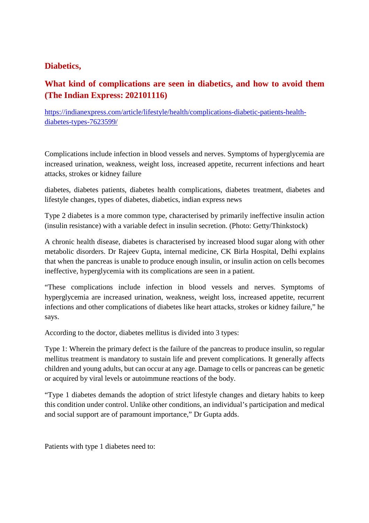#### **Diabetics,**

# **What kind of complications are seen in diabetics, and how to avoid them (The Indian Express: 202101116)**

https://indianexpress.com/article/lifestyle/health/complications-diabetic-patients-healthdiabetes-types-7623599/

Complications include infection in blood vessels and nerves. Symptoms of hyperglycemia are increased urination, weakness, weight loss, increased appetite, recurrent infections and heart attacks, strokes or kidney failure

diabetes, diabetes patients, diabetes health complications, diabetes treatment, diabetes and lifestyle changes, types of diabetes, diabetics, indian express news

Type 2 diabetes is a more common type, characterised by primarily ineffective insulin action (insulin resistance) with a variable defect in insulin secretion. (Photo: Getty/Thinkstock)

A chronic health disease, diabetes is characterised by increased blood sugar along with other metabolic disorders. Dr Rajeev Gupta, internal medicine, CK Birla Hospital, Delhi explains that when the pancreas is unable to produce enough insulin, or insulin action on cells becomes ineffective, hyperglycemia with its complications are seen in a patient.

"These complications include infection in blood vessels and nerves. Symptoms of hyperglycemia are increased urination, weakness, weight loss, increased appetite, recurrent infections and other complications of diabetes like heart attacks, strokes or kidney failure," he says.

According to the doctor, diabetes mellitus is divided into 3 types:

Type 1: Wherein the primary defect is the failure of the pancreas to produce insulin, so regular mellitus treatment is mandatory to sustain life and prevent complications. It generally affects children and young adults, but can occur at any age. Damage to cells or pancreas can be genetic or acquired by viral levels or autoimmune reactions of the body.

"Type 1 diabetes demands the adoption of strict lifestyle changes and dietary habits to keep this condition under control. Unlike other conditions, an individual's participation and medical and social support are of paramount importance," Dr Gupta adds.

Patients with type 1 diabetes need to: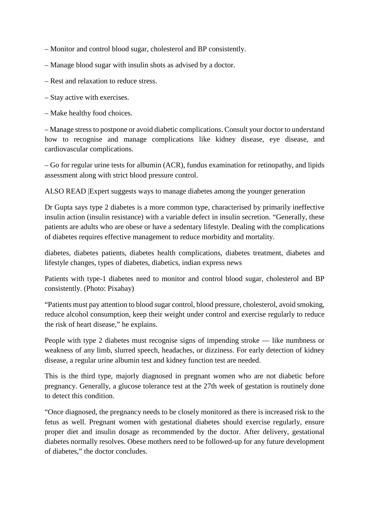– Monitor and control blood sugar, cholesterol and BP consistently.

- Manage blood sugar with insulin shots as advised by a doctor.
- Rest and relaxation to reduce stress.
- Stay active with exercises.
- Make healthy food choices.

– Manage stress to postpone or avoid diabetic complications. Consult your doctor to understand how to recognise and manage complications like kidney disease, eye disease, and cardiovascular complications.

– Go for regular urine tests for albumin (ACR), fundus examination for retinopathy, and lipids assessment along with strict blood pressure control.

ALSO READ |Expert suggests ways to manage diabetes among the younger generation

Dr Gupta says type 2 diabetes is a more common type, characterised by primarily ineffective insulin action (insulin resistance) with a variable defect in insulin secretion. "Generally, these patients are adults who are obese or have a sedentary lifestyle. Dealing with the complications of diabetes requires effective management to reduce morbidity and mortality.

diabetes, diabetes patients, diabetes health complications, diabetes treatment, diabetes and lifestyle changes, types of diabetes, diabetics, indian express news

Patients with type-1 diabetes need to monitor and control blood sugar, cholesterol and BP consistently. (Photo: Pixabay)

"Patients must pay attention to blood sugar control, blood pressure, cholesterol, avoid smoking, reduce alcohol consumption, keep their weight under control and exercise regularly to reduce the risk of heart disease," he explains.

People with type 2 diabetes must recognise signs of impending stroke — like numbness or weakness of any limb, slurred speech, headaches, or dizziness. For early detection of kidney disease, a regular urine albumin test and kidney function test are needed.

This is the third type, majorly diagnosed in pregnant women who are not diabetic before pregnancy. Generally, a glucose tolerance test at the 27th week of gestation is routinely done to detect this condition.

"Once diagnosed, the pregnancy needs to be closely monitored as there is increased risk to the fetus as well. Pregnant women with gestational diabetes should exercise regularly, ensure proper diet and insulin dosage as recommended by the doctor. After delivery, gestational diabetes normally resolves. Obese mothers need to be followed-up for any future development of diabetes," the doctor concludes.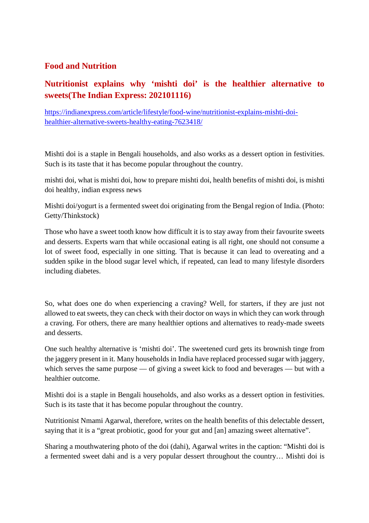#### **Food and Nutrition**

# **Nutritionist explains why 'mishti doi' is the healthier alternative to sweets(The Indian Express: 202101116)**

https://indianexpress.com/article/lifestyle/food-wine/nutritionist-explains-mishti-doihealthier-alternative-sweets-healthy-eating-7623418/

Mishti doi is a staple in Bengali households, and also works as a dessert option in festivities. Such is its taste that it has become popular throughout the country.

mishti doi, what is mishti doi, how to prepare mishti doi, health benefits of mishti doi, is mishti doi healthy, indian express news

Mishti doi/yogurt is a fermented sweet doi originating from the Bengal region of India. (Photo: Getty/Thinkstock)

Those who have a sweet tooth know how difficult it is to stay away from their favourite sweets and desserts. Experts warn that while occasional eating is all right, one should not consume a lot of sweet food, especially in one sitting. That is because it can lead to overeating and a sudden spike in the blood sugar level which, if repeated, can lead to many lifestyle disorders including diabetes.

So, what does one do when experiencing a craving? Well, for starters, if they are just not allowed to eat sweets, they can check with their doctor on ways in which they can work through a craving. For others, there are many healthier options and alternatives to ready-made sweets and desserts.

One such healthy alternative is 'mishti doi'. The sweetened curd gets its brownish tinge from the jaggery present in it. Many households in India have replaced processed sugar with jaggery, which serves the same purpose — of giving a sweet kick to food and beverages — but with a healthier outcome.

Mishti doi is a staple in Bengali households, and also works as a dessert option in festivities. Such is its taste that it has become popular throughout the country.

Nutritionist Nmami Agarwal, therefore, writes on the health benefits of this delectable dessert, saying that it is a "great probiotic, good for your gut and [an] amazing sweet alternative".

Sharing a mouthwatering photo of the doi (dahi), Agarwal writes in the caption: "Mishti doi is a fermented sweet dahi and is a very popular dessert throughout the country… Mishti doi is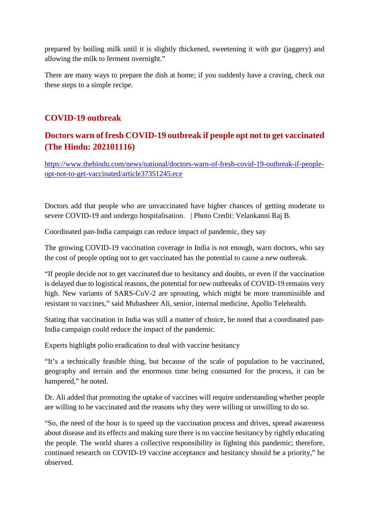prepared by boiling milk until it is slightly thickened, sweetening it with gur (jaggery) and allowing the milk to ferment overnight."

There are many ways to prepare the dish at home; if you suddenly have a craving, check out these steps to a simple recipe.

### **COVID-19 outbreak**

# **Doctors warn of fresh COVID-19 outbreak if people opt not to get vaccinated (The Hindu: 202101116)**

https://www.thehindu.com/news/national/doctors-warn-of-fresh-covid-19-outbreak-if-peopleopt-not-to-get-vaccinated/article37351245.ece

Doctors add that people who are unvaccinated have higher chances of getting moderate to severe COVID-19 and undergo hospitalisation. | Photo Credit: Velankanni Raj B.

Coordinated pan-India campaign can reduce impact of pandemic, they say

The growing COVID-19 vaccination coverage in India is not enough, warn doctors, who say the cost of people opting not to get vaccinated has the potential to cause a new outbreak.

"If people decide not to get vaccinated due to hesitancy and doubts, or even if the vaccination is delayed due to logistical reasons, the potential for new outbreaks of COVID-19 remains very high. New variants of SARS-CoV-2 are sprouting, which might be more transmissible and resistant to vaccines," said Mubasheer Ali, senior, internal medicine, Apollo Telehealth.

Stating that vaccination in India was still a matter of choice, he noted that a coordinated pan-India campaign could reduce the impact of the pandemic.

Experts highlight polio eradication to deal with vaccine hesitancy

"It's a technically feasible thing, but because of the scale of population to be vaccinated, geography and terrain and the enormous time being consumed for the process, it can be hampered," he noted.

Dr. Ali added that promoting the uptake of vaccines will require understanding whether people are willing to be vaccinated and the reasons why they were willing or unwilling to do so.

"So, the need of the hour is to speed up the vaccination process and drives, spread awareness about disease and its effects and making sure there is no vaccine hesitancy by rightly educating the people. The world shares a collective responsibility in fighting this pandemic; therefore, continued research on COVID-19 vaccine acceptance and hesitancy should be a priority," he observed.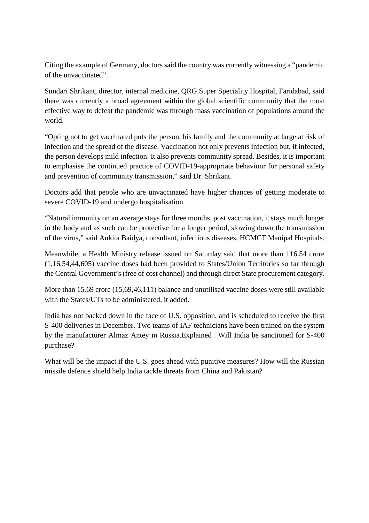Citing the example of Germany, doctors said the country was currently witnessing a "pandemic of the unvaccinated".

Sundari Shrikant, director, internal medicine, QRG Super Speciality Hospital, Faridabad, said there was currently a broad agreement within the global scientific community that the most effective way to defeat the pandemic was through mass vaccination of populations around the world.

"Opting not to get vaccinated puts the person, his family and the community at large at risk of infection and the spread of the disease. Vaccination not only prevents infection but, if infected, the person develops mild infection. It also prevents community spread. Besides, it is important to emphasise the continued practice of COVID-19-appropriate behaviour for personal safety and prevention of community transmission," said Dr. Shrikant.

Doctors add that people who are unvaccinated have higher chances of getting moderate to severe COVID-19 and undergo hospitalisation.

"Natural immunity on an average stays for three months, post vaccination, it stays much longer in the body and as such can be protective for a longer period, slowing down the transmission of the virus," said Ankita Baidya, consultant, infectious diseases, HCMCT Manipal Hospitals.

Meanwhile, a Health Ministry release issued on Saturday said that more than 116.54 crore (1,16,54,44,605) vaccine doses had been provided to States/Union Territories so far through the Central Government's (free of cost channel) and through direct State procurement category.

More than 15.69 crore (15.69.46,111) balance and unutilised vaccine doses were still available with the States/UTs to be administered, it added.

India has not backed down in the face of U.S. opposition, and is scheduled to receive the first S-400 deliveries in December. Two teams of IAF technicians have been trained on the system by the manufacturer Almaz Antey in Russia.Explained | Will India be sanctioned for S-400 purchase?

What will be the impact if the U.S. goes ahead with punitive measures? How will the Russian missile defence shield help India tackle threats from China and Pakistan?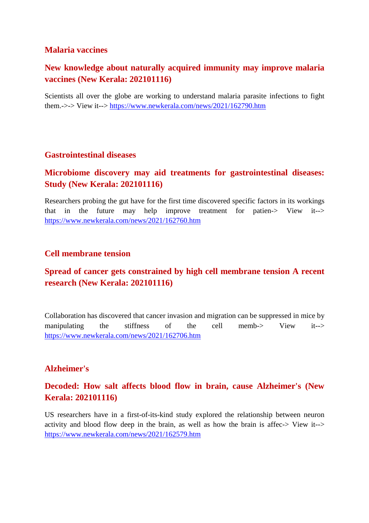#### **Malaria vaccines**

# **New knowledge about naturally acquired immunity may improve malaria vaccines (New Kerala: 202101116)**

Scientists all over the globe are working to understand malaria parasite infections to fight them.->-> View it--> https://www.newkerala.com/news/2021/162790.htm

#### **Gastrointestinal diseases**

## **Microbiome discovery may aid treatments for gastrointestinal diseases: Study (New Kerala: 202101116)**

Researchers probing the gut have for the first time discovered specific factors in its workings that in the future may help improve treatment for patien-> View it--> https://www.newkerala.com/news/2021/162760.htm

#### **Cell membrane tension**

# **Spread of cancer gets constrained by high cell membrane tension A recent research (New Kerala: 202101116)**

Collaboration has discovered that cancer invasion and migration can be suppressed in mice by manipulating the stiffness of the cell memb-> View it--> https://www.newkerala.com/news/2021/162706.htm

#### **Alzheimer's**

# **Decoded: How salt affects blood flow in brain, cause Alzheimer's (New Kerala: 202101116)**

US researchers have in a first-of-its-kind study explored the relationship between neuron activity and blood flow deep in the brain, as well as how the brain is affec-> View it--> https://www.newkerala.com/news/2021/162579.htm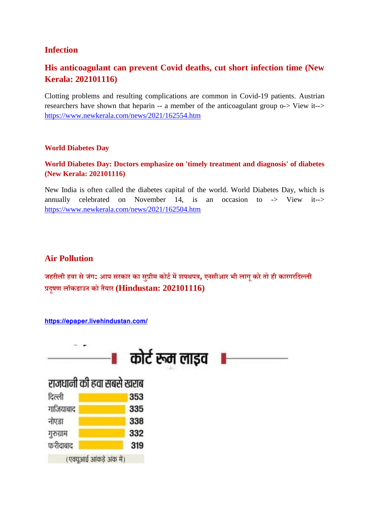## **Infection**

# **His anticoagulant can prevent Covid deaths, cut short infection time (New Kerala: 202101116)**

Clotting problems and resulting complications are common in Covid-19 patients. Austrian researchers have shown that heparin -- a member of the anticoagulant group o-> View it--> https://www.newkerala.com/news/2021/162554.htm

#### **World Diabetes Day**

#### **World Diabetes Day: Doctors emphasize on 'timely treatment and diagnosis' of diabetes (New Kerala: 202101116)**

New India is often called the diabetes capital of the world. World Diabetes Day, which is annually celebrated on November 14, is an occasion to  $\rightarrow$  View it- $\rightarrow$ https://www.newkerala.com/news/2021/162504.htm

#### **Air Pollution**

**जहरीली हवा सेजंग: आप सरकार का सुीम कोटमशपथप, एनसीआर भी लागूकरेतो ही कारगरिदली दूषण लॉकडाउन को तैयार (Hindustan: 202101116)**

#### **https://epaper.livehindustan.com/**

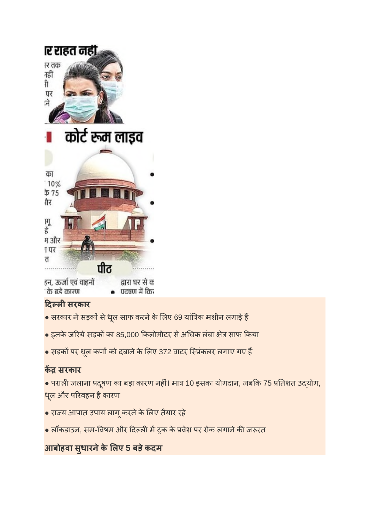

# **दलसरकार**

- सरकार ने सड़कों से धूल साफ करने के लिए 69 यांत्रिक मशीन लगाई हैं
- $\bullet$  इनके जरिये सड़कों का 85,000 किलोमीटर से अधिक लंबा क्षेत्र साफ किया
- सड़कों पर धूल कणों को दबाने के लिए 372 वाटर स्प्रिंकलर लगाए गए हैं

# **क सरकार**

 $\bullet$  पराली जलाना प्रदूषण का बड़ा कारण नहीं। मात्र 10 इसका योगदान, जबकि 75 प्रतिशत उद्योग, धूल और परिवहन है कारण

- राय आपात उपाय लागूकरनेके लए तैयार रहे
- लॉकडाउन, सम-विषम और दिल्ली में ट्रक के प्रवेश पर रोक लगाने की जरूरत

# **आबोहवा सु धारनेके लए 5 बड़ेकदम**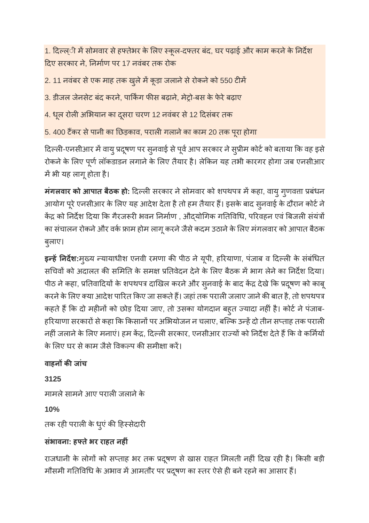1. दिल्ल्ी में सोमवार से हफ्तेभर के लिए स्कूल-दफ्तर बंद, घर पढ़ाई और काम करने के निर्देश दए सरकार ने, नमाण पर 17 नवंबर तक रोक

2. 11 नवंबर से एक माह तक खुले में कूड़ा जलाने से रोकने को 550 टीमें

3. डीजल जेनसेट बंद करने, पार्किंग फीस बढ़ाने, मेट्रो-बस के फेरे बढ़ाए

4. धूल रोली अभियान का दूसरा चरण 12 नवंबर से 12 दिसंबर तक

5. 400 टैंकर से पानी का छिड़काव, पराली गलाने का काम 20 तक पूरा होगा

दिल्ली-एनसीआर में वायु प्रदूषण पर सुनवाई से पूर्व आप सरकार ने सुप्रीम कोर्ट को बताया कि वह इसे रोकने के लिए पूर्ण लॉकडाडन लगाने के लिए तैयार है। लेकिन यह तभी कारगर होगा जब एनसीआर में भी यह लागू होता है।

**मंगलवार को आपात बैठक हो:** दिल्ली सरकार ने सोमवार को शपथपत्र में कहा, वायु गुणवत्ता प्रबंधन आयोग पूरे एनसीआर के लिए यह आदेश देता है तो हम तैयार हैं। इसके बाद सुनवाई के दौरान कोर्ट ने केंद्र को निर्देश दिया कि गैरजरूरी भवन निर्माण , औद्योगिक गतिविधि, परिवहन एवं बिजली संयंत्रों का संचालन रोकने और वर्क फ्राम होम लागू करने जैसे कदम उठाने के लिए मंगलवार को आपात बैठक बुलाए।

**इन्हें निर्देश:**मुख्य न्यायाधीश एनवी रमणा की पीठ ने यूपी, हरियाणा, पंजाब व दिल्ली के संबंधित सचिवों को अदालत की समिति के समक्ष प्रतिवेदन देने के लिए बैठक में भाग लेने का निर्देश दिया। पीठ ने कहा, प्रतिवादियों के शपथपत्र दाखिल करने और सुनवाई के बाद केंद्र देखे कि प्रदूषण को काबू करने के लिए क्या आदेश पारित किए जा सकते हैं। जहां तक पराली जलाए जाने की बात है, तो शपथपत्र कहते हैं कि दो महीनों को छोड़ दिया जाए, तो उसका योगदान बहुत ज्यादा नहीं है। कोर्ट ने पंजाब-हरियाणा सरकारों से कहा कि किसानों पर अभियोजन न चलाए, बल्कि उन्हें दो तीन सप्ताह तक पराली नहीं जलाने के लिए मनाएं। हम केंद्र, दिल्ली सरकार, एनसीआर राज्यों को निर्देश देते हैं कि वे कर्मियों के लिए घर से काम जैसे विकल्प की समीक्षा करें।

**वाहनकजांच 3125** मामले सामने आए पराली जलाने के **10%** तक रही पराली के धूएं की हिस्सेदारी **संभावना: हतेभर राहत नहं**

राजधानी के लोगों को सप्ताह भर तक प्रदूषण से खास राहत मिलती नहीं दिख रही है। किसी बड़ी मौसमी गतिविधि के अभाव में आमतौर पर प्रदूषण का स्तर ऐसे ही बने रहने का आसार हैं।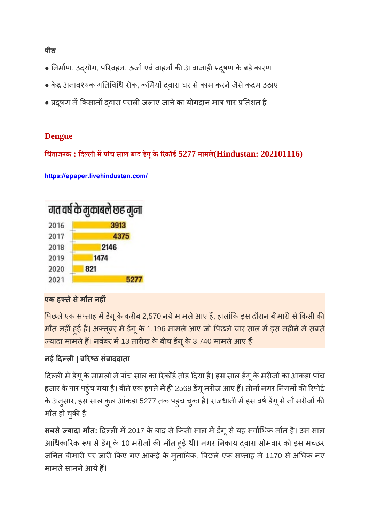**पीठ**

- निर्माण, उद्योग, परिवहन, ऊर्जा एवं वाहनों की आवाजाही प्रदूषण के बड़े कारण
- केंद्र अनावश्यक गतिविधि रोक, कर्मियों दवारा घर से काम करने जैसे कदम उठाए
- प्रदूषण में किसानों दवारा पराली जलाए जाने का योगदान मात्र चार प्रतिशत है

# **Dengue**

**िचंताजनक : िदली मपांच साल बाद डगूके रकॉड5277 मामले(Hindustan: 202101116)**

**https://epaper.livehindustan.com/**



# **एक हतेसेमौत नहं**

पिछले एक सप्ताह में डेंगू के करीब 2,570 नये मामले आए हैं, हालांकि इस दौरान बीमारी से किसी की मौत नहीं हुई है। अक्तूबर में डेंगू के 1,196 मामले आए जो पिछले चार साल में इस महीने में सबसे ज्यादा मामले हैं। नवंबर में 13 तारीख के बीच डेंगू के 3,740 मामले आए हैं।

# **नई दल| वरठ संवाददाता**

दिल्ली में डेंगू के मामलों ने पांच साल का रिकॉर्ड तोड़ दिया है। इस साल डेंगू के मरीजों का आंकड़ा पांच हजार के पार पहुंच गया है। बीते एक हफ्ते में ही 2569 डेंगू मरीज आए हैं। तीनों नगर निगमों की रिपोर्ट के अनुसार, इस साल कुल आंकड़ा 5277 तक पहुंच चुका है। राजधानी में इस वर्ष डेंगू से नौ मरीजों की मौत हो चुकी है।

**सबसे ज्यादा मौत:** दिल्ली में 2017 के बाद से किसी साल में डेंगू से यह सर्वाधिक मौत है। उस साल आधिकारिक रूप से डेंगू के 10 मरीजों की मौत हुई थी। नगर निकाय दवारा सोमवार को इस मच्छर जनित बीमारी पर जारी किए गए आंकड़े के मुताबिक, पिछले एक सप्ताह में 1170 से अधिक नए मामले सामने आये हैं।